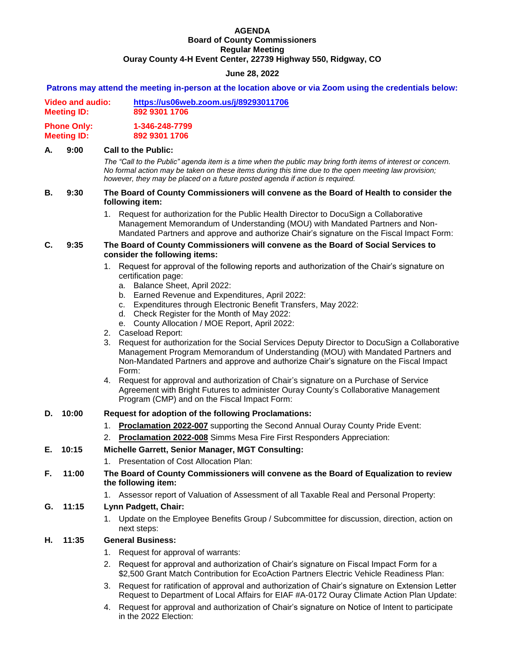#### **AGENDA Board of County Commissioners Regular Meeting Ouray County 4-H Event Center, 22739 Highway 550, Ridgway, CO**

# **June 28, 2022**

**Patrons may attend the meeting in-person at the location above or via Zoom using the credentials below:**

|--|

**Meeting ID: 892 9301 1706**

**Phone Only: 1-346-248-7799 Meeting ID: 892 9301 1706**

# **A. 9:00 Call to the Public:**

*The "Call to the Public" agenda item is a time when the public may bring forth items of interest or concern. No formal action may be taken on these items during this time due to the open meeting law provision; however, they may be placed on a future posted agenda if action is required.*

### **B. 9:30 The Board of County Commissioners will convene as the Board of Health to consider the following item:**

1. Request for authorization for the Public Health Director to DocuSign a Collaborative Management Memorandum of Understanding (MOU) with Mandated Partners and Non-Mandated Partners and approve and authorize Chair's signature on the Fiscal Impact Form:

# **C. 9:35 The Board of County Commissioners will convene as the Board of Social Services to consider the following items:**

- 1. Request for approval of the following reports and authorization of the Chair's signature on certification page:
	- a. Balance Sheet, April 2022:
	- b. Earned Revenue and Expenditures, April 2022:
	- c. Expenditures through Electronic Benefit Transfers, May 2022:
	- d. Check Register for the Month of May 2022:
	- e. County Allocation / MOE Report, April 2022:
- 2. Caseload Report:
- 3. Request for authorization for the Social Services Deputy Director to DocuSign a Collaborative Management Program Memorandum of Understanding (MOU) with Mandated Partners and Non-Mandated Partners and approve and authorize Chair's signature on the Fiscal Impact Form:
- 4. Request for approval and authorization of Chair's signature on a Purchase of Service Agreement with Bright Futures to administer Ouray County's Collaborative Management Program (CMP) and on the Fiscal Impact Form:

# **D. 10:00 Request for adoption of the following Proclamations:**

- 1. **Proclamation 2022-007** supporting the Second Annual Ouray County Pride Event:
- 2. **Proclamation 2022-008** Simms Mesa Fire First Responders Appreciation:

### **E. 10:15 Michelle Garrett, Senior Manager, MGT Consulting:**

1. Presentation of Cost Allocation Plan:

### **F. 11:00 The Board of County Commissioners will convene as the Board of Equalization to review the following item:**

1. Assessor report of Valuation of Assessment of all Taxable Real and Personal Property:

# **G. 11:15 Lynn Padgett, Chair:**

1. Update on the Employee Benefits Group / Subcommittee for discussion, direction, action on next steps:

# **H. 11:35 General Business:**

- 1. Request for approval of warrants:
- 2. Request for approval and authorization of Chair's signature on Fiscal Impact Form for a \$2,500 Grant Match Contribution for EcoAction Partners Electric Vehicle Readiness Plan:
- 3. Request for ratification of approval and authorization of Chair's signature on Extension Letter Request to Department of Local Affairs for EIAF #A-0172 Ouray Climate Action Plan Update:
- 4. Request for approval and authorization of Chair's signature on Notice of Intent to participate in the 2022 Election: